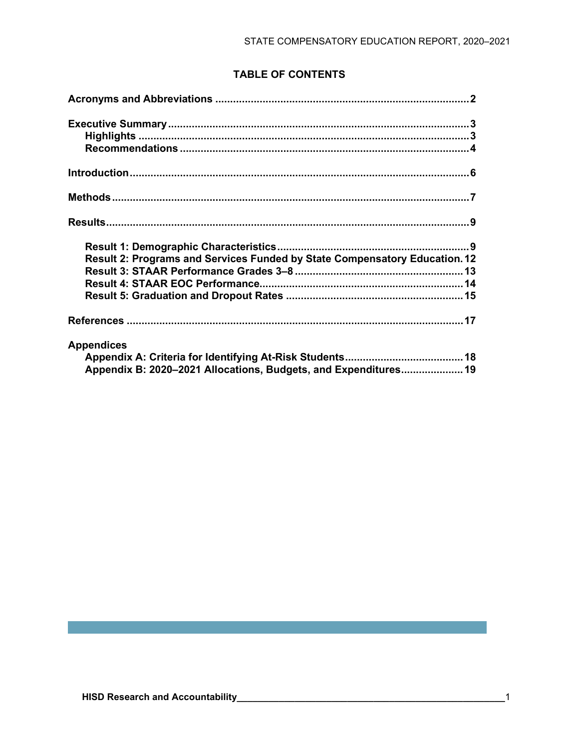# **TABLE OF CONTENTS**

| Result 2: Programs and Services Funded by State Compensatory Education. 12 |  |
|----------------------------------------------------------------------------|--|
|                                                                            |  |
|                                                                            |  |
|                                                                            |  |
|                                                                            |  |
| <b>Appendices</b>                                                          |  |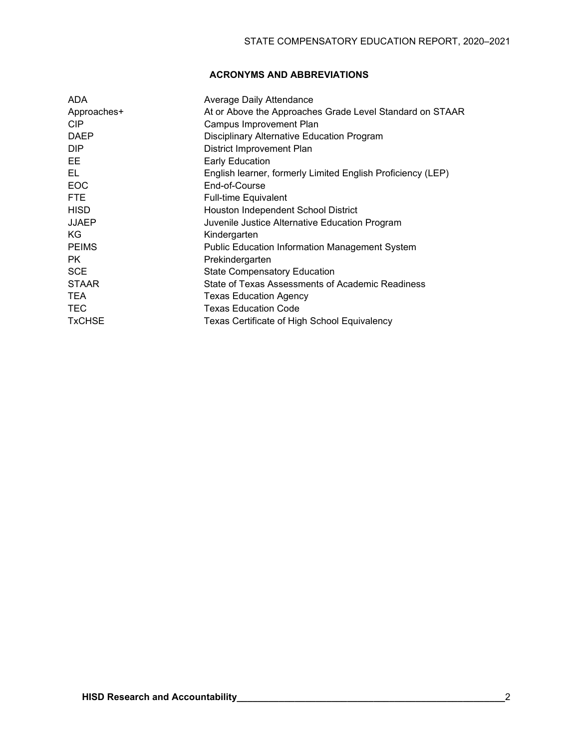# **ACRONYMS AND ABBREVIATIONS**

| <b>ADA</b>      | Average Daily Attendance                                    |
|-----------------|-------------------------------------------------------------|
| Approaches+     | At or Above the Approaches Grade Level Standard on STAAR    |
| CIP <sub></sub> | Campus Improvement Plan                                     |
| <b>DAEP</b>     | Disciplinary Alternative Education Program                  |
| DIP.            | District Improvement Plan                                   |
| EE              | <b>Early Education</b>                                      |
| EL              | English learner, formerly Limited English Proficiency (LEP) |
| <b>EOC</b>      | End-of-Course                                               |
| <b>FTE</b>      | <b>Full-time Equivalent</b>                                 |
| <b>HISD</b>     | Houston Independent School District                         |
| <b>JJAEP</b>    | Juvenile Justice Alternative Education Program              |
| KG              | Kindergarten                                                |
| <b>PEIMS</b>    | <b>Public Education Information Management System</b>       |
| PK.             | Prekindergarten                                             |
| <b>SCE</b>      | <b>State Compensatory Education</b>                         |
| <b>STAAR</b>    | State of Texas Assessments of Academic Readiness            |
| <b>TEA</b>      | Texas Education Agency                                      |
| <b>TEC</b>      | <b>Texas Education Code</b>                                 |
| <b>TxCHSE</b>   | Texas Certificate of High School Equivalency                |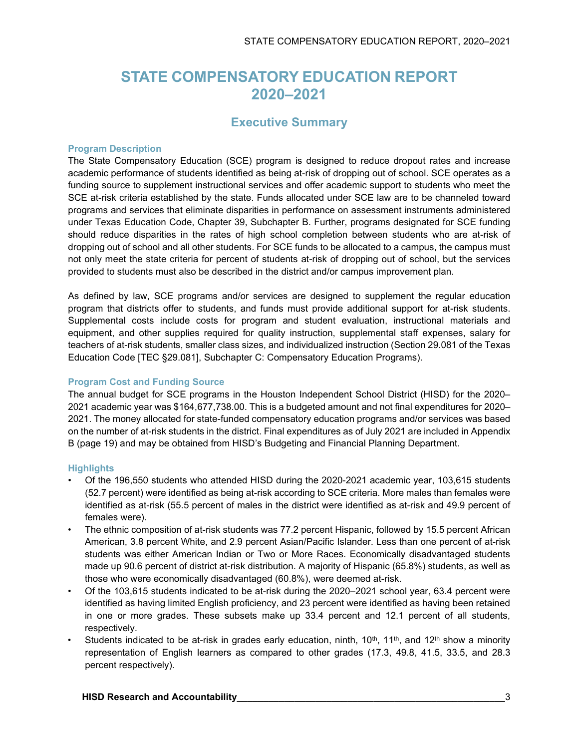# **STATE COMPENSATORY EDUCATION REPORT 2020–2021**

# **Executive Summary**

### **Program Description**

The State Compensatory Education (SCE) program is designed to reduce dropout rates and increase academic performance of students identified as being at-risk of dropping out of school. SCE operates as a funding source to supplement instructional services and offer academic support to students who meet the SCE at-risk criteria established by the state. Funds allocated under SCE law are to be channeled toward programs and services that eliminate disparities in performance on assessment instruments administered under Texas Education Code, Chapter 39, Subchapter B. Further, programs designated for SCE funding should reduce disparities in the rates of high school completion between students who are at-risk of dropping out of school and all other students. For SCE funds to be allocated to a campus, the campus must not only meet the state criteria for percent of students at-risk of dropping out of school, but the services provided to students must also be described in the district and/or campus improvement plan.

As defined by law, SCE programs and/or services are designed to supplement the regular education program that districts offer to students, and funds must provide additional support for at-risk students. Supplemental costs include costs for program and student evaluation, instructional materials and equipment, and other supplies required for quality instruction, supplemental staff expenses, salary for teachers of at-risk students, smaller class sizes, and individualized instruction (Section 29.081 of the Texas Education Code [TEC §29.081], Subchapter C: Compensatory Education Programs).

# **Program Cost and Funding Source**

The annual budget for SCE programs in the Houston Independent School District (HISD) for the 2020– 2021 academic year was \$164,677,738.00. This is a budgeted amount and not final expenditures for 2020– 2021. The money allocated for state-funded compensatory education programs and/or services was based on the number of at-risk students in the district. Final expenditures as of July 2021 are included in Appendix B (page 19) and may be obtained from HISD's Budgeting and Financial Planning Department.

# **Highlights**

- Of the 196,550 students who attended HISD during the 2020-2021 academic year, 103,615 students (52.7 percent) were identified as being at-risk according to SCE criteria. More males than females were identified as at-risk (55.5 percent of males in the district were identified as at-risk and 49.9 percent of females were).
- The ethnic composition of at-risk students was 77.2 percent Hispanic, followed by 15.5 percent African American, 3.8 percent White, and 2.9 percent Asian/Pacific Islander. Less than one percent of at-risk students was either American Indian or Two or More Races. Economically disadvantaged students made up 90.6 percent of district at-risk distribution. A majority of Hispanic (65.8%) students, as well as those who were economically disadvantaged (60.8%), were deemed at-risk.
- Of the 103,615 students indicated to be at-risk during the 2020–2021 school year, 63.4 percent were identified as having limited English proficiency, and 23 percent were identified as having been retained in one or more grades. These subsets make up 33.4 percent and 12.1 percent of all students, respectively.
- Students indicated to be at-risk in grades early education, ninth, 10<sup>th</sup>, 11<sup>th</sup>, and 12<sup>th</sup> show a minority representation of English learners as compared to other grades (17.3, 49.8, 41.5, 33.5, and 28.3 percent respectively).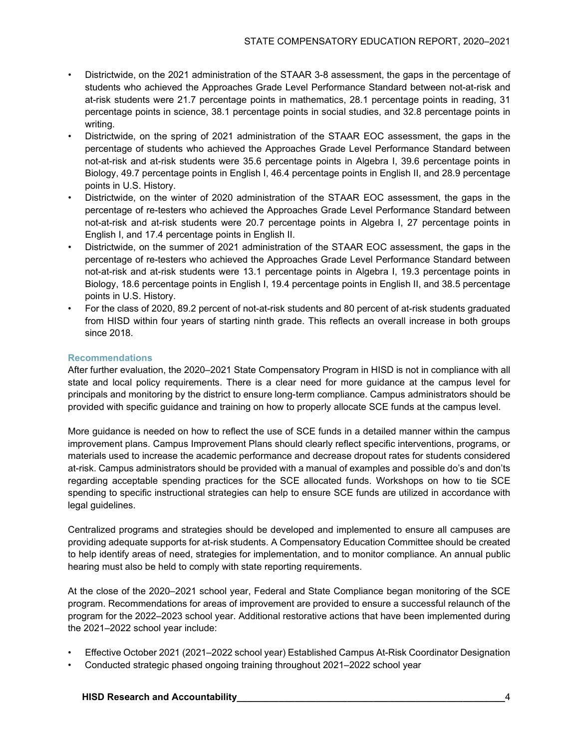- Districtwide, on the 2021 administration of the STAAR 3-8 assessment, the gaps in the percentage of students who achieved the Approaches Grade Level Performance Standard between not-at-risk and at-risk students were 21.7 percentage points in mathematics, 28.1 percentage points in reading, 31 percentage points in science, 38.1 percentage points in social studies, and 32.8 percentage points in writing.
- Districtwide, on the spring of 2021 administration of the STAAR EOC assessment, the gaps in the percentage of students who achieved the Approaches Grade Level Performance Standard between not-at-risk and at-risk students were 35.6 percentage points in Algebra I, 39.6 percentage points in Biology, 49.7 percentage points in English I, 46.4 percentage points in English II, and 28.9 percentage points in U.S. History.
- Districtwide, on the winter of 2020 administration of the STAAR EOC assessment, the gaps in the percentage of re-testers who achieved the Approaches Grade Level Performance Standard between not-at-risk and at-risk students were 20.7 percentage points in Algebra I, 27 percentage points in English I, and 17.4 percentage points in English II.
- Districtwide, on the summer of 2021 administration of the STAAR EOC assessment, the gaps in the percentage of re-testers who achieved the Approaches Grade Level Performance Standard between not-at-risk and at-risk students were 13.1 percentage points in Algebra I, 19.3 percentage points in Biology, 18.6 percentage points in English I, 19.4 percentage points in English II, and 38.5 percentage points in U.S. History.
- For the class of 2020, 89.2 percent of not-at-risk students and 80 percent of at-risk students graduated from HISD within four years of starting ninth grade. This reflects an overall increase in both groups since 2018.

# **Recommendations**

After further evaluation, the 2020–2021 State Compensatory Program in HISD is not in compliance with all state and local policy requirements. There is a clear need for more guidance at the campus level for principals and monitoring by the district to ensure long-term compliance. Campus administrators should be provided with specific guidance and training on how to properly allocate SCE funds at the campus level.

More guidance is needed on how to reflect the use of SCE funds in a detailed manner within the campus improvement plans. Campus Improvement Plans should clearly reflect specific interventions, programs, or materials used to increase the academic performance and decrease dropout rates for students considered at-risk. Campus administrators should be provided with a manual of examples and possible do's and don'ts regarding acceptable spending practices for the SCE allocated funds. Workshops on how to tie SCE spending to specific instructional strategies can help to ensure SCE funds are utilized in accordance with legal guidelines.

Centralized programs and strategies should be developed and implemented to ensure all campuses are providing adequate supports for at-risk students. A Compensatory Education Committee should be created to help identify areas of need, strategies for implementation, and to monitor compliance. An annual public hearing must also be held to comply with state reporting requirements.

At the close of the 2020–2021 school year, Federal and State Compliance began monitoring of the SCE program. Recommendations for areas of improvement are provided to ensure a successful relaunch of the program for the 2022–2023 school year. Additional restorative actions that have been implemented during the 2021–2022 school year include:

- Effective October 2021 (2021–2022 school year) Established Campus At-Risk Coordinator Designation
- Conducted strategic phased ongoing training throughout 2021–2022 school year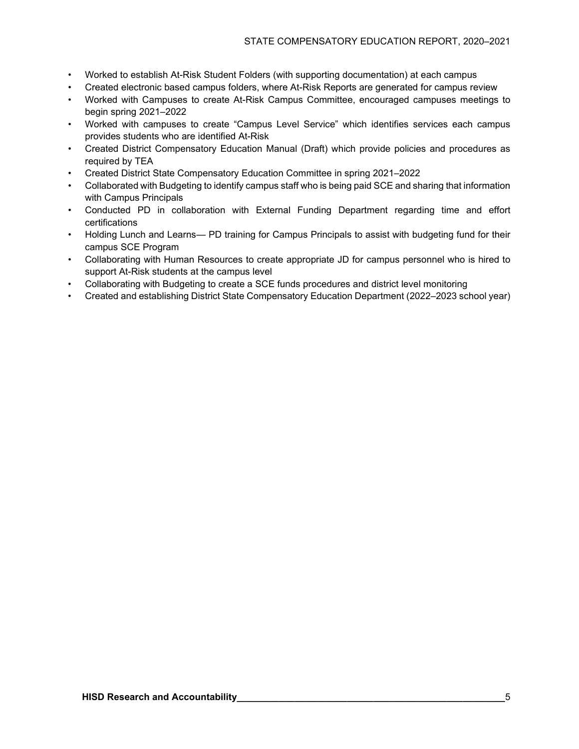- Worked to establish At-Risk Student Folders (with supporting documentation) at each campus
- Created electronic based campus folders, where At-Risk Reports are generated for campus review
- Worked with Campuses to create At-Risk Campus Committee, encouraged campuses meetings to begin spring 2021–2022
- Worked with campuses to create "Campus Level Service" which identifies services each campus provides students who are identified At-Risk
- Created District Compensatory Education Manual (Draft) which provide policies and procedures as required by TEA
- Created District State Compensatory Education Committee in spring 2021–2022
- Collaborated with Budgeting to identify campus staff who is being paid SCE and sharing that information with Campus Principals
- Conducted PD in collaboration with External Funding Department regarding time and effort certifications
- Holding Lunch and Learns— PD training for Campus Principals to assist with budgeting fund for their campus SCE Program
- Collaborating with Human Resources to create appropriate JD for campus personnel who is hired to support At-Risk students at the campus level
- Collaborating with Budgeting to create a SCE funds procedures and district level monitoring
- Created and establishing District State Compensatory Education Department (2022–2023 school year)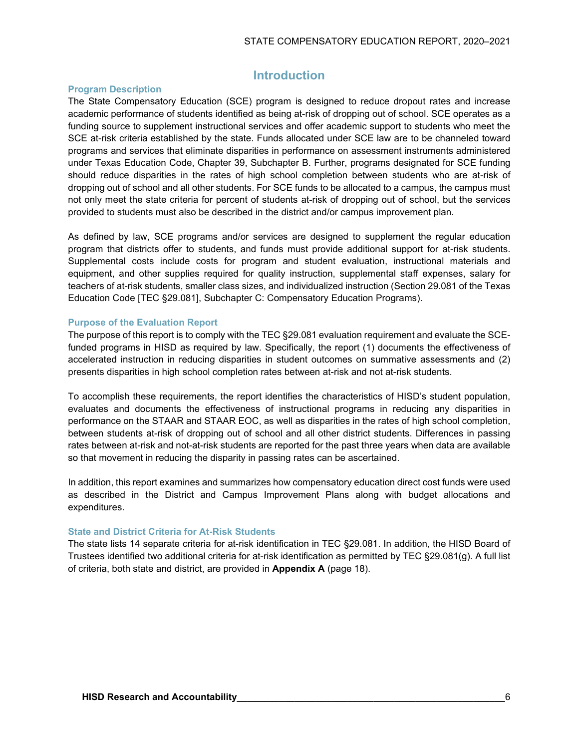# **Introduction**

### **Program Description**

The State Compensatory Education (SCE) program is designed to reduce dropout rates and increase academic performance of students identified as being at-risk of dropping out of school. SCE operates as a funding source to supplement instructional services and offer academic support to students who meet the SCE at-risk criteria established by the state. Funds allocated under SCE law are to be channeled toward programs and services that eliminate disparities in performance on assessment instruments administered under Texas Education Code, Chapter 39, Subchapter B. Further, programs designated for SCE funding should reduce disparities in the rates of high school completion between students who are at-risk of dropping out of school and all other students. For SCE funds to be allocated to a campus, the campus must not only meet the state criteria for percent of students at-risk of dropping out of school, but the services provided to students must also be described in the district and/or campus improvement plan.

As defined by law, SCE programs and/or services are designed to supplement the regular education program that districts offer to students, and funds must provide additional support for at-risk students. Supplemental costs include costs for program and student evaluation, instructional materials and equipment, and other supplies required for quality instruction, supplemental staff expenses, salary for teachers of at-risk students, smaller class sizes, and individualized instruction (Section 29.081 of the Texas Education Code [TEC §29.081], Subchapter C: Compensatory Education Programs).

#### **Purpose of the Evaluation Report**

The purpose of this report is to comply with the TEC §29.081 evaluation requirement and evaluate the SCEfunded programs in HISD as required by law. Specifically, the report (1) documents the effectiveness of accelerated instruction in reducing disparities in student outcomes on summative assessments and (2) presents disparities in high school completion rates between at-risk and not at-risk students.

To accomplish these requirements, the report identifies the characteristics of HISD's student population, evaluates and documents the effectiveness of instructional programs in reducing any disparities in performance on the STAAR and STAAR EOC, as well as disparities in the rates of high school completion, between students at-risk of dropping out of school and all other district students. Differences in passing rates between at-risk and not-at-risk students are reported for the past three years when data are available so that movement in reducing the disparity in passing rates can be ascertained.

In addition, this report examines and summarizes how compensatory education direct cost funds were used as described in the District and Campus Improvement Plans along with budget allocations and expenditures.

#### **State and District Criteria for At-Risk Students**

The state lists 14 separate criteria for at-risk identification in TEC §29.081. In addition, the HISD Board of Trustees identified two additional criteria for at-risk identification as permitted by TEC §29.081(g). A full list of criteria, both state and district, are provided in **Appendix A** (page 18).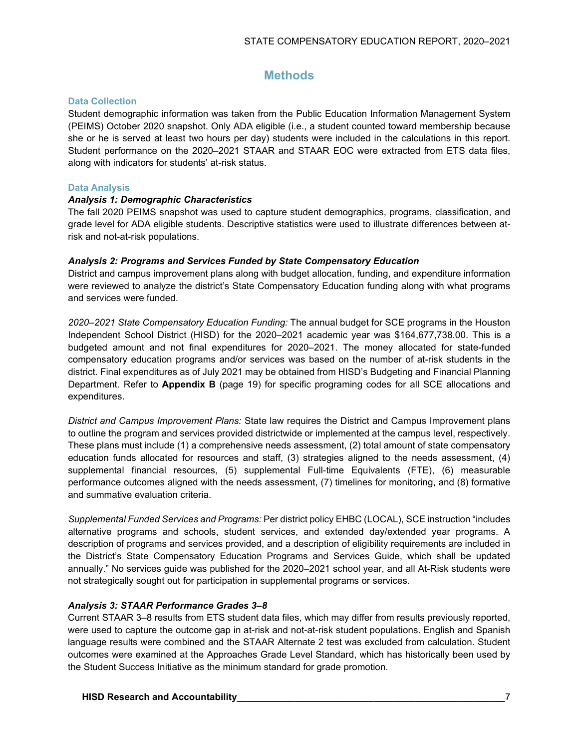# **Methods**

### **Data Collection**

Student demographic information was taken from the Public Education Information Management System (PEIMS) October 2020 snapshot. Only ADA eligible (i.e., a student counted toward membership because she or he is served at least two hours per day) students were included in the calculations in this report. Student performance on the 2020–2021 STAAR and STAAR EOC were extracted from ETS data files, along with indicators for students' at-risk status.

#### **Data Analysis**

#### *Analysis 1: Demographic Characteristics*

The fall 2020 PEIMS snapshot was used to capture student demographics, programs, classification, and grade level for ADA eligible students. Descriptive statistics were used to illustrate differences between atrisk and not-at-risk populations.

#### *Analysis 2: Programs and Services Funded by State Compensatory Education*

District and campus improvement plans along with budget allocation, funding, and expenditure information were reviewed to analyze the district's State Compensatory Education funding along with what programs and services were funded.

*2020–2021 State Compensatory Education Funding:* The annual budget for SCE programs in the Houston Independent School District (HISD) for the 2020–2021 academic year was \$164,677,738.00. This is a budgeted amount and not final expenditures for 2020–2021. The money allocated for state-funded compensatory education programs and/or services was based on the number of at-risk students in the district. Final expenditures as of July 2021 may be obtained from HISD's Budgeting and Financial Planning Department. Refer to **Appendix B** (page 19) for specific programing codes for all SCE allocations and expenditures.

*District and Campus Improvement Plans:* State law requires the District and Campus Improvement plans to outline the program and services provided districtwide or implemented at the campus level, respectively. These plans must include (1) a comprehensive needs assessment, (2) total amount of state compensatory education funds allocated for resources and staff, (3) strategies aligned to the needs assessment, (4) supplemental financial resources, (5) supplemental Full-time Equivalents (FTE), (6) measurable performance outcomes aligned with the needs assessment, (7) timelines for monitoring, and (8) formative and summative evaluation criteria.

*Supplemental Funded Services and Programs:* Per district policy EHBC (LOCAL), SCE instruction "includes alternative programs and schools, student services, and extended day/extended year programs. A description of programs and services provided, and a description of eligibility requirements are included in the District's State Compensatory Education Programs and Services Guide, which shall be updated annually." No services guide was published for the 2020–2021 school year, and all At-Risk students were not strategically sought out for participation in supplemental programs or services.

# *Analysis 3: STAAR Performance Grades 3–8*

Current STAAR 3–8 results from ETS student data files, which may differ from results previously reported, were used to capture the outcome gap in at-risk and not-at-risk student populations. English and Spanish language results were combined and the STAAR Alternate 2 test was excluded from calculation. Student outcomes were examined at the Approaches Grade Level Standard, which has historically been used by the Student Success Initiative as the minimum standard for grade promotion.

# **HISD Research and Accountability All and Accountability 19. The set of the set of the set of the set of the set of the set of the set of the set of the set of the set of the set of the set of the set of the set of the**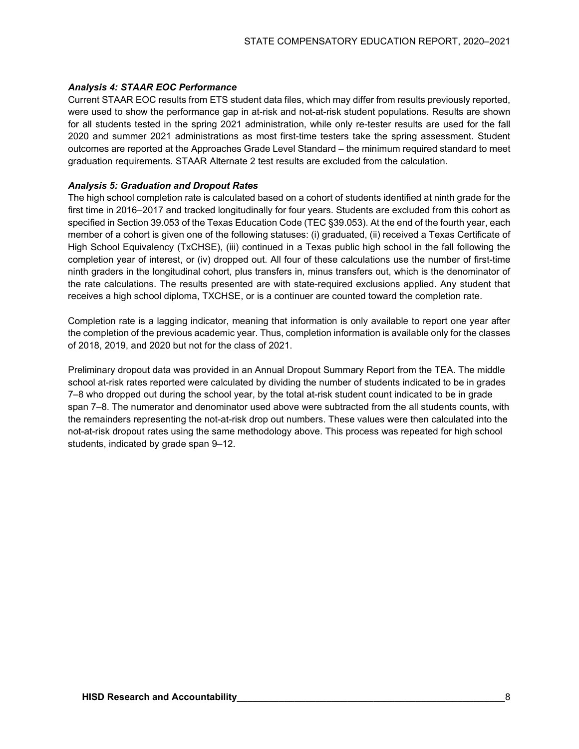# *Analysis 4: STAAR EOC Performance*

Current STAAR EOC results from ETS student data files, which may differ from results previously reported, were used to show the performance gap in at-risk and not-at-risk student populations. Results are shown for all students tested in the spring 2021 administration, while only re-tester results are used for the fall 2020 and summer 2021 administrations as most first-time testers take the spring assessment. Student outcomes are reported at the Approaches Grade Level Standard – the minimum required standard to meet graduation requirements. STAAR Alternate 2 test results are excluded from the calculation.

# *Analysis 5: Graduation and Dropout Rates*

The high school completion rate is calculated based on a cohort of students identified at ninth grade for the first time in 2016–2017 and tracked longitudinally for four years. Students are excluded from this cohort as specified in Section 39.053 of the Texas Education Code (TEC §39.053). At the end of the fourth year, each member of a cohort is given one of the following statuses: (i) graduated, (ii) received a Texas Certificate of High School Equivalency (TxCHSE), (iii) continued in a Texas public high school in the fall following the completion year of interest, or (iv) dropped out. All four of these calculations use the number of first-time ninth graders in the longitudinal cohort, plus transfers in, minus transfers out, which is the denominator of the rate calculations. The results presented are with state-required exclusions applied. Any student that receives a high school diploma, TXCHSE, or is a continuer are counted toward the completion rate.

Completion rate is a lagging indicator, meaning that information is only available to report one year after the completion of the previous academic year. Thus, completion information is available only for the classes of 2018, 2019, and 2020 but not for the class of 2021.

Preliminary dropout data was provided in an Annual Dropout Summary Report from the TEA. The middle school at-risk rates reported were calculated by dividing the number of students indicated to be in grades 7–8 who dropped out during the school year, by the total at-risk student count indicated to be in grade span 7–8. The numerator and denominator used above were subtracted from the all students counts, with the remainders representing the not-at-risk drop out numbers. These values were then calculated into the not-at-risk dropout rates using the same methodology above. This process was repeated for high school students, indicated by grade span 9–12.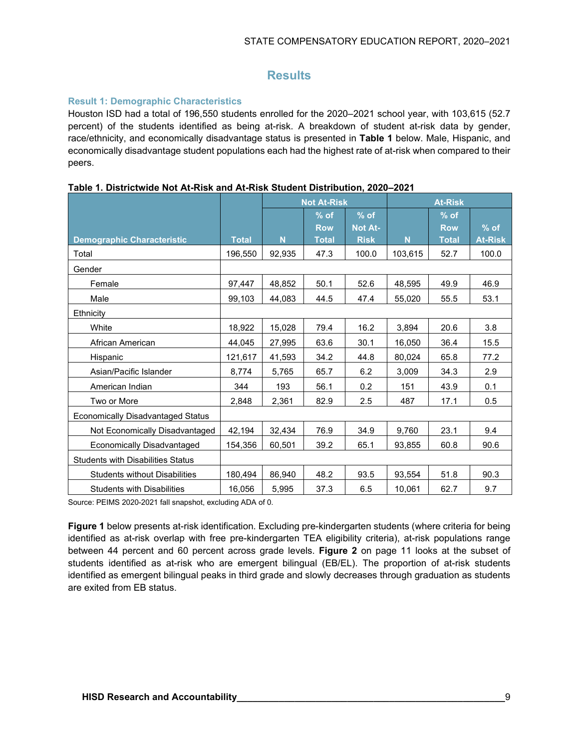# **Results**

# **Result 1: Demographic Characteristics**

Houston ISD had a total of 196,550 students enrolled for the 2020–2021 school year, with 103,615 (52.7 percent) of the students identified as being at-risk. A breakdown of student at-risk data by gender, race/ethnicity, and economically disadvantage status is presented in **Table 1** below. Male, Hispanic, and economically disadvantage student populations each had the highest rate of at-risk when compared to their peers.

|                                          |              | <b>Not At-Risk</b> |              |                | <b>At-Risk</b> |              |                |
|------------------------------------------|--------------|--------------------|--------------|----------------|----------------|--------------|----------------|
|                                          |              |                    | $%$ of       | $%$ of         |                | $%$ of       |                |
|                                          |              |                    | <b>Row</b>   | <b>Not At-</b> |                | <b>Row</b>   | $%$ of         |
| <b>Demographic Characteristic</b>        | <b>Total</b> | N                  | <b>Total</b> | <b>Risk</b>    | N              | <b>Total</b> | <b>At-Risk</b> |
| Total                                    | 196,550      | 92,935             | 47.3         | 100.0          | 103,615        | 52.7         | 100.0          |
| Gender                                   |              |                    |              |                |                |              |                |
| Female                                   | 97,447       | 48,852             | 50.1         | 52.6           | 48,595         | 49.9         | 46.9           |
| Male                                     | 99,103       | 44,083             | 44.5         | 47.4           | 55,020         | 55.5         | 53.1           |
| Ethnicity                                |              |                    |              |                |                |              |                |
| White                                    | 18,922       | 15,028             | 79.4         | 16.2           | 3,894          | 20.6         | 3.8            |
| African American                         | 44,045       | 27,995             | 63.6         | 30.1           | 16,050         | 36.4         | 15.5           |
| Hispanic                                 | 121,617      | 41,593             | 34.2         | 44.8           | 80,024         | 65.8         | 77.2           |
| Asian/Pacific Islander                   | 8,774        | 5,765              | 65.7         | 6.2            | 3,009          | 34.3         | 2.9            |
| American Indian                          | 344          | 193                | 56.1         | 0.2            | 151            | 43.9         | 0.1            |
| Two or More                              | 2,848        | 2,361              | 82.9         | 2.5            | 487            | 17.1         | 0.5            |
| <b>Economically Disadvantaged Status</b> |              |                    |              |                |                |              |                |
| Not Economically Disadvantaged           | 42,194       | 32,434             | 76.9         | 34.9           | 9,760          | 23.1         | 9.4            |
| Economically Disadvantaged               | 154.356      | 60,501             | 39.2         | 65.1           | 93.855         | 60.8         | 90.6           |
| <b>Students with Disabilities Status</b> |              |                    |              |                |                |              |                |
| <b>Students without Disabilities</b>     | 180,494      | 86,940             | 48.2         | 93.5           | 93,554         | 51.8         | 90.3           |
| <b>Students with Disabilities</b>        | 16,056       | 5,995              | 37.3         | 6.5            | 10,061         | 62.7         | 9.7            |

|  | Table 1. Districtwide Not At-Risk and At-Risk Student Distribution, 2020-2021 |  |  |
|--|-------------------------------------------------------------------------------|--|--|
|  |                                                                               |  |  |

Source: PEIMS 2020-2021 fall snapshot, excluding ADA of 0.

**Figure 1** below presents at-risk identification. Excluding pre-kindergarten students (where criteria for being identified as at-risk overlap with free pre-kindergarten TEA eligibility criteria), at-risk populations range between 44 percent and 60 percent across grade levels. **Figure 2** on page 11 looks at the subset of students identified as at-risk who are emergent bilingual (EB/EL). The proportion of at-risk students identified as emergent bilingual peaks in third grade and slowly decreases through graduation as students are exited from EB status.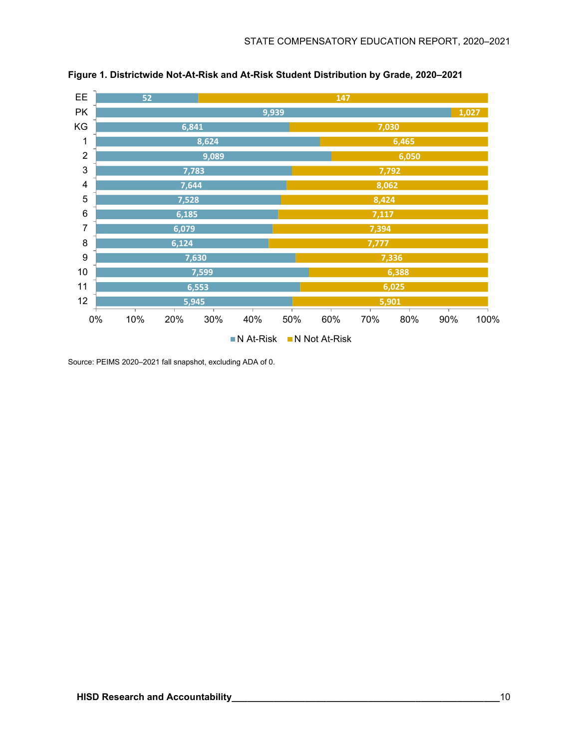

**Figure 1. Districtwide Not-At-Risk and At-Risk Student Distribution by Grade, 2020–2021**

Source: PEIMS 2020–2021 fall snapshot, excluding ADA of 0.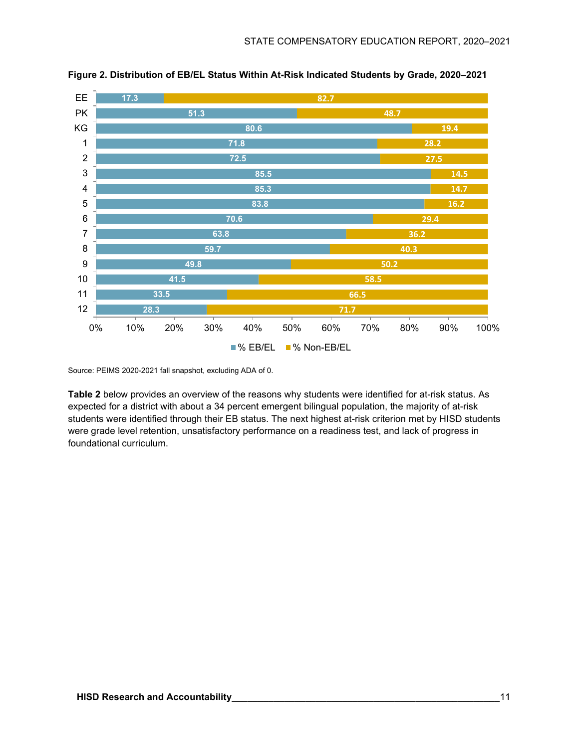

**Figure 2. Distribution of EB/EL Status Within At-Risk Indicated Students by Grade, 2020–2021**

Source: PEIMS 2020-2021 fall snapshot, excluding ADA of 0.

**Table 2** below provides an overview of the reasons why students were identified for at-risk status. As expected for a district with about a 34 percent emergent bilingual population, the majority of at-risk students were identified through their EB status. The next highest at-risk criterion met by HISD students were grade level retention, unsatisfactory performance on a readiness test, and lack of progress in foundational curriculum.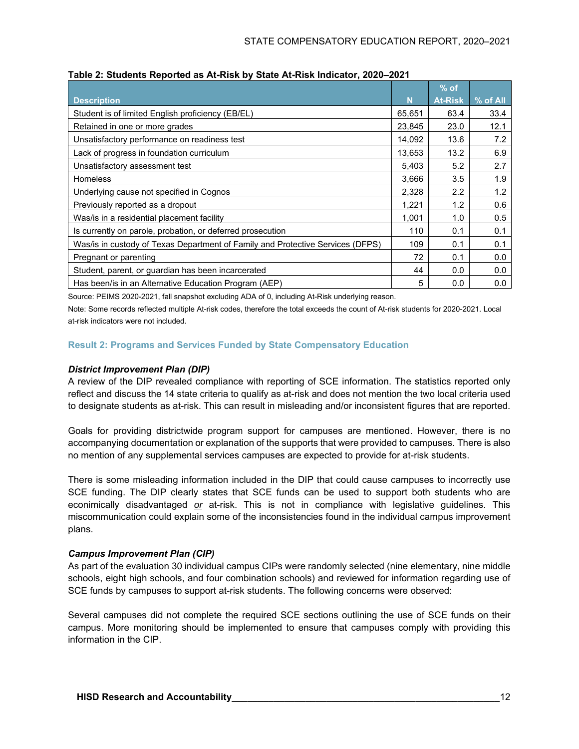|                                                                                |        | $%$ of         |          |
|--------------------------------------------------------------------------------|--------|----------------|----------|
| <b>Description</b>                                                             | N      | <b>At-Risk</b> | % of All |
| Student is of limited English proficiency (EB/EL)                              | 65,651 | 63.4           | 33.4     |
| Retained in one or more grades                                                 | 23,845 | 23.0           | 12.1     |
| Unsatisfactory performance on readiness test                                   | 14,092 | 13.6           | 7.2      |
| Lack of progress in foundation curriculum                                      | 13,653 | 13.2           | 6.9      |
| Unsatisfactory assessment test                                                 | 5,403  | 5.2            | 2.7      |
| <b>Homeless</b>                                                                | 3,666  | 3.5            | 1.9      |
| Underlying cause not specified in Cognos                                       | 2,328  | 2.2            | 1.2      |
| Previously reported as a dropout                                               | 1,221  | 1.2            | 0.6      |
| Was/is in a residential placement facility                                     | 1,001  | 1.0            | 0.5      |
| Is currently on parole, probation, or deferred prosecution                     | 110    | 0.1            | 0.1      |
| Was/is in custody of Texas Department of Family and Protective Services (DFPS) | 109    | 0.1            | 0.1      |
| Pregnant or parenting                                                          | 72     | 0.1            | 0.0      |
| Student, parent, or guardian has been incarcerated                             | 44     | 0.0            | 0.0      |
| Has been/is in an Alternative Education Program (AEP)                          | 5      | 0.0            | 0.0      |

Source: PEIMS 2020-2021, fall snapshot excluding ADA of 0, including At-Risk underlying reason.

Note: Some records reflected multiple At-risk codes, therefore the total exceeds the count of At-risk students for 2020-2021. Local at-risk indicators were not included.

# **Result 2: Programs and Services Funded by State Compensatory Education**

#### *District Improvement Plan (DIP)*

A review of the DIP revealed compliance with reporting of SCE information. The statistics reported only reflect and discuss the 14 state criteria to qualify as at-risk and does not mention the two local criteria used to designate students as at-risk. This can result in misleading and/or inconsistent figures that are reported.

Goals for providing districtwide program support for campuses are mentioned. However, there is no accompanying documentation or explanation of the supports that were provided to campuses. There is also no mention of any supplemental services campuses are expected to provide for at-risk students.

There is some misleading information included in the DIP that could cause campuses to incorrectly use SCE funding. The DIP clearly states that SCE funds can be used to support both students who are econimically disadvantaged *or* at-risk. This is not in compliance with legislative guidelines. This miscommunication could explain some of the inconsistencies found in the individual campus improvement plans.

#### *Campus Improvement Plan (CIP)*

As part of the evaluation 30 individual campus CIPs were randomly selected (nine elementary, nine middle schools, eight high schools, and four combination schools) and reviewed for information regarding use of SCE funds by campuses to support at-risk students. The following concerns were observed:

Several campuses did not complete the required SCE sections outlining the use of SCE funds on their campus. More monitoring should be implemented to ensure that campuses comply with providing this information in the CIP.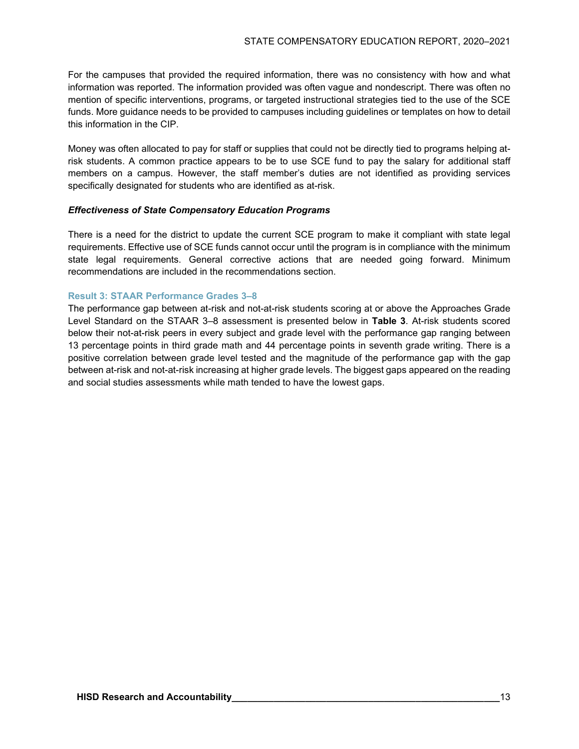For the campuses that provided the required information, there was no consistency with how and what information was reported. The information provided was often vague and nondescript. There was often no mention of specific interventions, programs, or targeted instructional strategies tied to the use of the SCE funds. More guidance needs to be provided to campuses including guidelines or templates on how to detail this information in the CIP.

Money was often allocated to pay for staff or supplies that could not be directly tied to programs helping atrisk students. A common practice appears to be to use SCE fund to pay the salary for additional staff members on a campus. However, the staff member's duties are not identified as providing services specifically designated for students who are identified as at-risk.

#### *Effectiveness of State Compensatory Education Programs*

There is a need for the district to update the current SCE program to make it compliant with state legal requirements. Effective use of SCE funds cannot occur until the program is in compliance with the minimum state legal requirements. General corrective actions that are needed going forward. Minimum recommendations are included in the recommendations section.

## **Result 3: STAAR Performance Grades 3–8**

The performance gap between at-risk and not-at-risk students scoring at or above the Approaches Grade Level Standard on the STAAR 3–8 assessment is presented below in **Table 3**. At-risk students scored below their not-at-risk peers in every subject and grade level with the performance gap ranging between 13 percentage points in third grade math and 44 percentage points in seventh grade writing. There is a positive correlation between grade level tested and the magnitude of the performance gap with the gap between at-risk and not-at-risk increasing at higher grade levels. The biggest gaps appeared on the reading and social studies assessments while math tended to have the lowest gaps.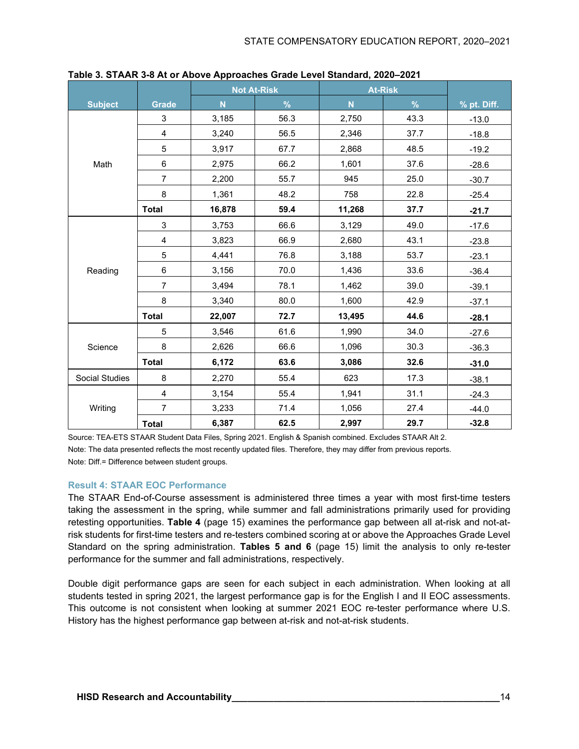|                |                         | <b>Not At-Risk</b>      |      | <b>At-Risk</b> |      |             |
|----------------|-------------------------|-------------------------|------|----------------|------|-------------|
| <b>Subject</b> | <b>Grade</b>            | $\overline{\mathsf{N}}$ | $\%$ | $\mathsf{N}$   | $\%$ | % pt. Diff. |
|                | 3                       | 3,185                   | 56.3 | 2,750          | 43.3 | $-13.0$     |
|                | $\overline{\mathbf{4}}$ | 3,240                   | 56.5 | 2,346          | 37.7 | $-18.8$     |
|                | 5                       | 3,917                   | 67.7 | 2,868          | 48.5 | $-19.2$     |
| Math           | $\,6\,$                 | 2,975                   | 66.2 | 1,601          | 37.6 | $-28.6$     |
|                | $\overline{7}$          | 2,200                   | 55.7 | 945            | 25.0 | $-30.7$     |
|                | 8                       | 1,361                   | 48.2 | 758            | 22.8 | $-25.4$     |
|                | <b>Total</b>            | 16,878                  | 59.4 | 11,268         | 37.7 | $-21.7$     |
|                | 3                       | 3,753                   | 66.6 | 3,129          | 49.0 | $-17.6$     |
|                | $\overline{\mathbf{4}}$ | 3,823                   | 66.9 | 2,680          | 43.1 | $-23.8$     |
|                | 5                       | 4,441                   | 76.8 | 3,188          | 53.7 | $-23.1$     |
| Reading        | 6                       | 3,156                   | 70.0 | 1,436          | 33.6 | $-36.4$     |
|                | $\overline{7}$          | 3,494                   | 78.1 | 1,462          | 39.0 | $-39.1$     |
|                | 8                       | 3,340                   | 80.0 | 1,600          | 42.9 | $-37.1$     |
|                | <b>Total</b>            | 22,007                  | 72.7 | 13,495         | 44.6 | $-28.1$     |
|                | 5                       | 3,546                   | 61.6 | 1,990          | 34.0 | $-27.6$     |
| Science        | 8                       | 2,626                   | 66.6 | 1,096          | 30.3 | $-36.3$     |
|                | <b>Total</b>            | 6,172                   | 63.6 | 3,086          | 32.6 | $-31.0$     |
| Social Studies | 8                       | 2,270                   | 55.4 | 623            | 17.3 | $-38.1$     |
|                | $\overline{4}$          | 3,154                   | 55.4 | 1,941          | 31.1 | $-24.3$     |
| Writing        | $\overline{7}$          | 3,233                   | 71.4 | 1,056          | 27.4 | $-44.0$     |
|                | <b>Total</b>            | 6,387                   | 62.5 | 2,997          | 29.7 | $-32.8$     |

**Table 3. STAAR 3-8 At or Above Approaches Grade Level Standard, 2020–2021**

Source: TEA-ETS STAAR Student Data Files, Spring 2021. English & Spanish combined. Excludes STAAR Alt 2. Note: The data presented reflects the most recently updated files. Therefore, they may differ from previous reports. Note: Diff.= Difference between student groups.

# **Result 4: STAAR EOC Performance**

The STAAR End-of-Course assessment is administered three times a year with most first-time testers taking the assessment in the spring, while summer and fall administrations primarily used for providing retesting opportunities. **Table 4** (page 15) examines the performance gap between all at-risk and not-atrisk students for first-time testers and re-testers combined scoring at or above the Approaches Grade Level Standard on the spring administration. **Tables 5 and 6** (page 15) limit the analysis to only re-tester performance for the summer and fall administrations, respectively.

Double digit performance gaps are seen for each subject in each administration. When looking at all students tested in spring 2021, the largest performance gap is for the English I and II EOC assessments. This outcome is not consistent when looking at summer 2021 EOC re-tester performance where U.S. History has the highest performance gap between at-risk and not-at-risk students.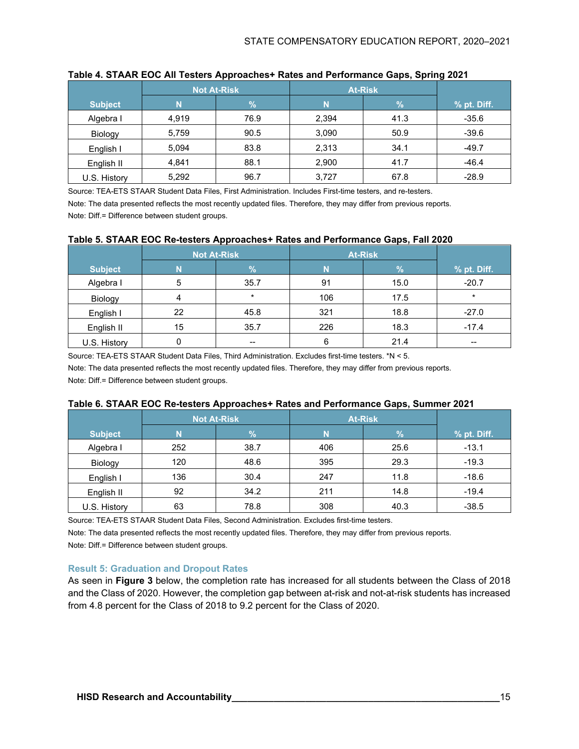|                |       | <b>Not At-Risk</b> | <b>At-Risk</b> |               |             |
|----------------|-------|--------------------|----------------|---------------|-------------|
| <b>Subject</b> |       | $\%$               | N              | $\frac{9}{6}$ | % pt. Diff. |
| Algebra I      | 4,919 | 76.9               | 2,394          | 41.3          | $-35.6$     |
| Biology        | 5,759 | 90.5               | 3,090          | 50.9          | $-39.6$     |
| English I      | 5,094 | 83.8               | 2,313          | 34.1          | $-49.7$     |
| English II     | 4,841 | 88.1               | 2,900          | 41.7          | $-46.4$     |
| U.S. History   | 5,292 | 96.7               | 3,727          | 67.8          | $-28.9$     |

### **Table 4. STAAR EOC All Testers Approaches+ Rates and Performance Gaps, Spring 2021**

Source: TEA-ETS STAAR Student Data Files, First Administration. Includes First-time testers, and re-testers. Note: The data presented reflects the most recently updated files. Therefore, they may differ from previous reports.

Note: Diff.= Difference between student groups.

#### **Table 5. STAAR EOC Re-testers Approaches+ Rates and Performance Gaps, Fall 2020**

|                | <b>Not At-Risk</b> |         | <b>At-Risk</b> |      |             |
|----------------|--------------------|---------|----------------|------|-------------|
| <b>Subject</b> |                    | $\%$    | N              | %    | % pt. Diff. |
| Algebra I      | 5                  | 35.7    | 91             | 15.0 | $-20.7$     |
| Biology        | 4                  | $\star$ | 106            | 17.5 | $\star$     |
| English I      | 22                 | 45.8    | 321            | 18.8 | $-27.0$     |
| English II     | 15                 | 35.7    | 226            | 18.3 | $-17.4$     |
| U.S. History   |                    | $- -$   | 6              | 21.4 | $- -$       |

Source: TEA-ETS STAAR Student Data Files, Third Administration. Excludes first-time testers. \*N < 5. Note: The data presented reflects the most recently updated files. Therefore, they may differ from previous reports.

Note: Diff.= Difference between student groups.

#### **Table 6. STAAR EOC Re-testers Approaches+ Rates and Performance Gaps, Summer 2021**

|                | <b>Not At-Risk</b> |               | <b>At-Risk</b> |      |             |
|----------------|--------------------|---------------|----------------|------|-------------|
| <b>Subject</b> |                    | $\mathcal{A}$ | N              | %    | % pt. Diff. |
| Algebra I      | 252                | 38.7          | 406            | 25.6 | $-13.1$     |
| Biology        | 120                | 48.6          | 395            | 29.3 | $-19.3$     |
| English I      | 136                | 30.4          | 247            | 11.8 | $-18.6$     |
| English II     | 92                 | 34.2          | 211            | 14.8 | $-19.4$     |
| U.S. History   | 63                 | 78.8          | 308            | 40.3 | $-38.5$     |

Source: TEA-ETS STAAR Student Data Files, Second Administration. Excludes first-time testers.

Note: The data presented reflects the most recently updated files. Therefore, they may differ from previous reports. Note: Diff.= Difference between student groups.

#### **Result 5: Graduation and Dropout Rates**

As seen in **Figure 3** below, the completion rate has increased for all students between the Class of 2018 and the Class of 2020. However, the completion gap between at-risk and not-at-risk students has increased from 4.8 percent for the Class of 2018 to 9.2 percent for the Class of 2020.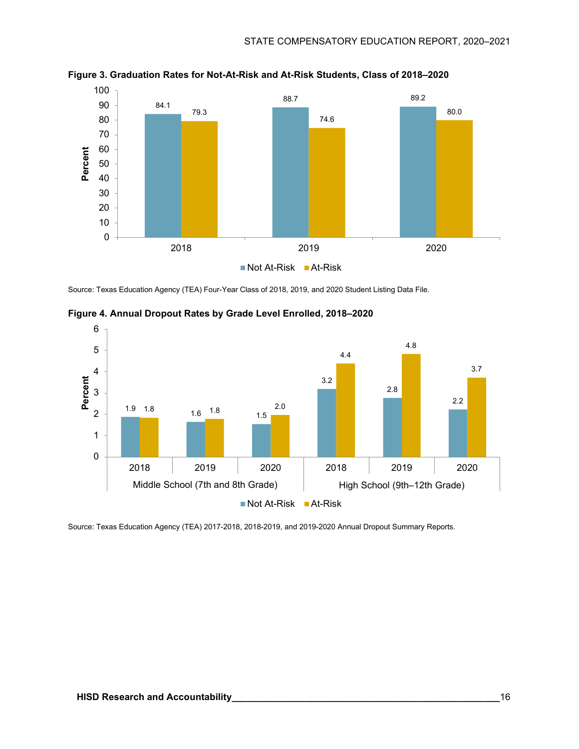

**Figure 3. Graduation Rates for Not-At-Risk and At-Risk Students, Class of 2018–2020**

Source: Texas Education Agency (TEA) Four-Year Class of 2018, 2019, and 2020 Student Listing Data File.



**Figure 4. Annual Dropout Rates by Grade Level Enrolled, 2018–2020**

Source: Texas Education Agency (TEA) 2017-2018, 2018-2019, and 2019-2020 Annual Dropout Summary Reports.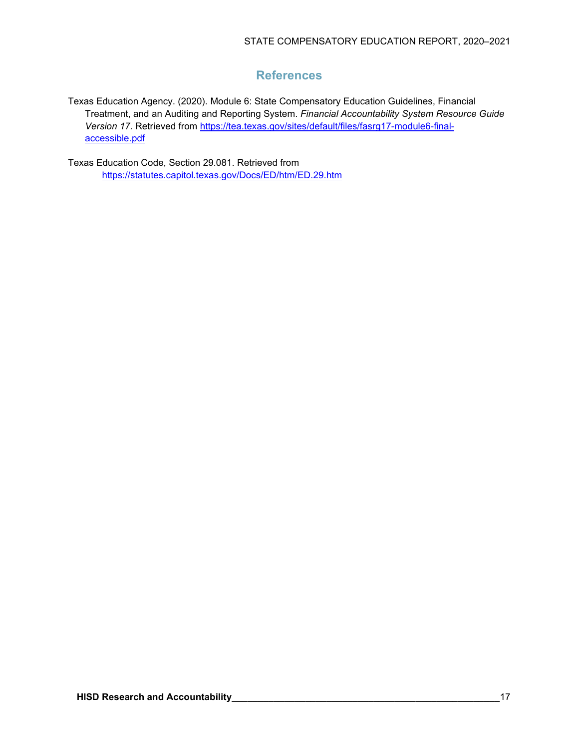# **References**

Texas Education Agency. (2020). Module 6: State Compensatory Education Guidelines, Financial Treatment, and an Auditing and Reporting System. *Financial Accountability System Resource Guide* Version 17. Retrieved from [https://tea.texas.gov/sites/default/files/fasrg17-module6-final](https://tea.texas.gov/sites/default/files/fasrg17-module6-final-accessible.pdf)[accessible.pdf](https://tea.texas.gov/sites/default/files/fasrg17-module6-final-accessible.pdf) 

Texas Education Code, Section 29.081. Retrieved from <https://statutes.capitol.texas.gov/Docs/ED/htm/ED.29.htm>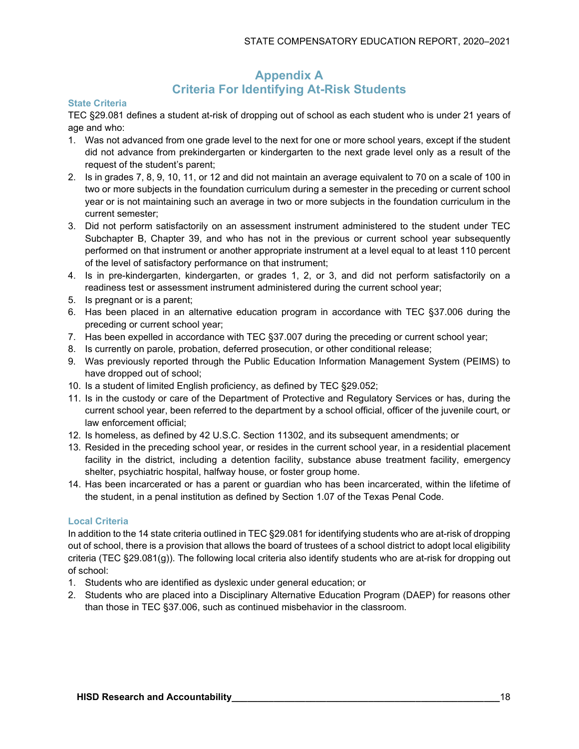# **Appendix A Criteria For Identifying At-Risk Students**

# **State Criteria**

TEC §29.081 defines a student at-risk of dropping out of school as each student who is under 21 years of age and who:

- 1. Was not advanced from one grade level to the next for one or more school years, except if the student did not advance from prekindergarten or kindergarten to the next grade level only as a result of the request of the student's parent;
- 2. Is in grades 7, 8, 9, 10, 11, or 12 and did not maintain an average equivalent to 70 on a scale of 100 in two or more subjects in the foundation curriculum during a semester in the preceding or current school year or is not maintaining such an average in two or more subjects in the foundation curriculum in the current semester;
- 3. Did not perform satisfactorily on an assessment instrument administered to the student under TEC Subchapter B, Chapter 39, and who has not in the previous or current school year subsequently performed on that instrument or another appropriate instrument at a level equal to at least 110 percent of the level of satisfactory performance on that instrument;
- 4. Is in pre-kindergarten, kindergarten, or grades 1, 2, or 3, and did not perform satisfactorily on a readiness test or assessment instrument administered during the current school year;
- 5. Is pregnant or is a parent;
- 6. Has been placed in an alternative education program in accordance with TEC §37.006 during the preceding or current school year;
- 7. Has been expelled in accordance with TEC §37.007 during the preceding or current school year;
- 8. Is currently on parole, probation, deferred prosecution, or other conditional release;
- 9. Was previously reported through the Public Education Information Management System (PEIMS) to have dropped out of school;
- 10. Is a student of limited English proficiency, as defined by TEC §29.052;
- 11. Is in the custody or care of the Department of Protective and Regulatory Services or has, during the current school year, been referred to the department by a school official, officer of the juvenile court, or law enforcement official;
- 12. Is homeless, as defined by 42 U.S.C. Section 11302, and its subsequent amendments; or
- 13. Resided in the preceding school year, or resides in the current school year, in a residential placement facility in the district, including a detention facility, substance abuse treatment facility, emergency shelter, psychiatric hospital, halfway house, or foster group home.
- 14. Has been incarcerated or has a parent or guardian who has been incarcerated, within the lifetime of the student, in a penal institution as defined by Section 1.07 of the Texas Penal Code.

# **Local Criteria**

In addition to the 14 state criteria outlined in TEC §29.081 for identifying students who are at-risk of dropping out of school, there is a provision that allows the board of trustees of a school district to adopt local eligibility criteria (TEC §29.081(g)). The following local criteria also identify students who are at-risk for dropping out of school:

- 1. Students who are identified as dyslexic under general education; or
- 2. Students who are placed into a Disciplinary Alternative Education Program (DAEP) for reasons other than those in TEC §37.006, such as continued misbehavior in the classroom.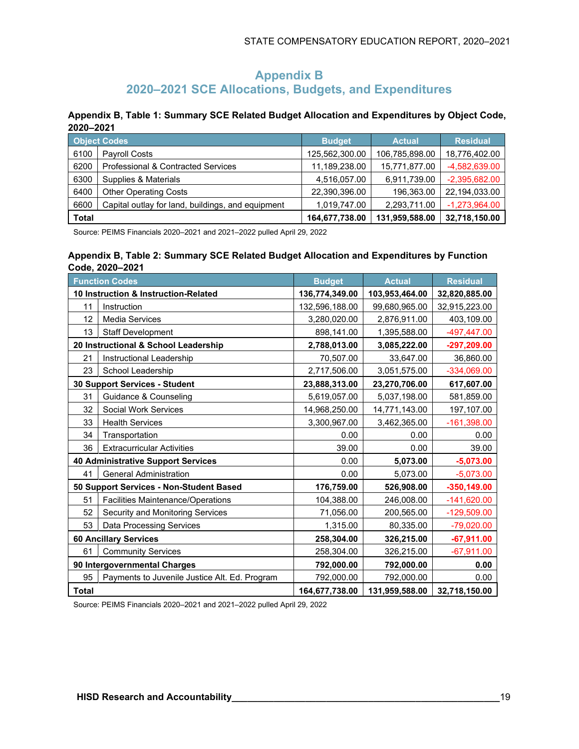# **Appendix B 2020–2021 SCE Allocations, Budgets, and Expenditures**

**Appendix B, Table 1: Summary SCE Related Budget Allocation and Expenditures by Object Code, 2020–2021**

|              | <b>Object Codes</b>                               | <b>Budget</b>  | <b>Actual</b>  | <b>Residual</b> |
|--------------|---------------------------------------------------|----------------|----------------|-----------------|
| 6100         | <b>Pavroll Costs</b>                              | 125,562,300.00 | 106,785,898.00 | 18,776,402.00   |
| 6200         | Professional & Contracted Services                | 11,189,238.00  | 15,771,877.00  | -4,582,639.00   |
| 6300         | Supplies & Materials                              | 4,516,057.00   | 6,911,739.00   | $-2,395,682.00$ |
| 6400         | <b>Other Operating Costs</b>                      | 22,390,396.00  | 196,363.00     | 22,194,033.00   |
| 6600         | Capital outlay for land, buildings, and equipment | 1,019,747.00   | 2,293,711.00   | $-1,273,964.00$ |
| <b>Total</b> |                                                   | 164,677,738.00 | 131,959,588.00 | 32,718,150.00   |

Source: PEIMS Financials 2020–2021 and 2021–2022 pulled April 29, 2022

# **Appendix B, Table 2: Summary SCE Related Budget Allocation and Expenditures by Function Code, 2020–2021**

|              | <b>Function Codes</b>                         | <b>Budget</b>  | <b>Actual</b>  | <b>Residual</b> |
|--------------|-----------------------------------------------|----------------|----------------|-----------------|
|              | 10 Instruction & Instruction-Related          | 136,774,349.00 | 103,953,464.00 | 32,820,885.00   |
| 11           | Instruction                                   | 132,596,188.00 | 99,680,965.00  | 32,915,223.00   |
| 12           | Media Services                                | 3,280,020.00   | 2,876,911.00   | 403,109.00      |
| 13           | Staff Development                             | 898,141.00     | 1,395,588.00   | -497,447.00     |
|              | 20 Instructional & School Leadership          | 2,788,013.00   | 3,085,222.00   | -297,209.00     |
| 21           | Instructional Leadership                      | 70,507.00      | 33,647.00      | 36,860.00       |
| 23           | School Leadership                             | 2,717,506.00   | 3,051,575.00   | -334,069.00     |
|              | 30 Support Services - Student                 | 23,888,313.00  | 23,270,706.00  | 617,607.00      |
| 31           | Guidance & Counseling                         | 5,619,057.00   | 5,037,198.00   | 581,859.00      |
| 32           | <b>Social Work Services</b>                   | 14,968,250.00  | 14,771,143.00  | 197,107.00      |
| 33           | <b>Health Services</b>                        | 3,300,967.00   | 3,462,365.00   | $-161,398.00$   |
| 34           | Transportation                                | 0.00           | 0.00           | 0.00            |
| 36           | <b>Extracurricular Activities</b>             | 39.00          | 0.00           | 39.00           |
|              | <b>40 Administrative Support Services</b>     | 0.00           | 5,073.00       | $-5,073.00$     |
| 41           | <b>General Administration</b>                 | 0.00           | 5,073.00       | $-5,073.00$     |
|              | 50 Support Services - Non-Student Based       | 176,759.00     | 526,908.00     | $-350,149.00$   |
| 51           | <b>Facilities Maintenance/Operations</b>      | 104,388.00     | 246,008.00     | $-141,620.00$   |
| 52           | Security and Monitoring Services              | 71,056.00      | 200,565.00     | -129,509.00     |
| 53           | <b>Data Processing Services</b>               | 1,315.00       | 80,335.00      | $-79,020.00$    |
|              | <b>60 Ancillary Services</b>                  | 258,304.00     | 326,215.00     | $-67,911.00$    |
| 61           | <b>Community Services</b>                     | 258,304.00     | 326,215.00     | $-67,911.00$    |
|              | 90 Intergovernmental Charges                  | 792,000.00     | 792,000.00     | 0.00            |
| 95           | Payments to Juvenile Justice Alt. Ed. Program | 792,000.00     | 792,000.00     | 0.00            |
| <b>Total</b> |                                               | 164,677,738.00 | 131,959,588.00 | 32,718,150.00   |

Source: PEIMS Financials 2020–2021 and 2021–2022 pulled April 29, 2022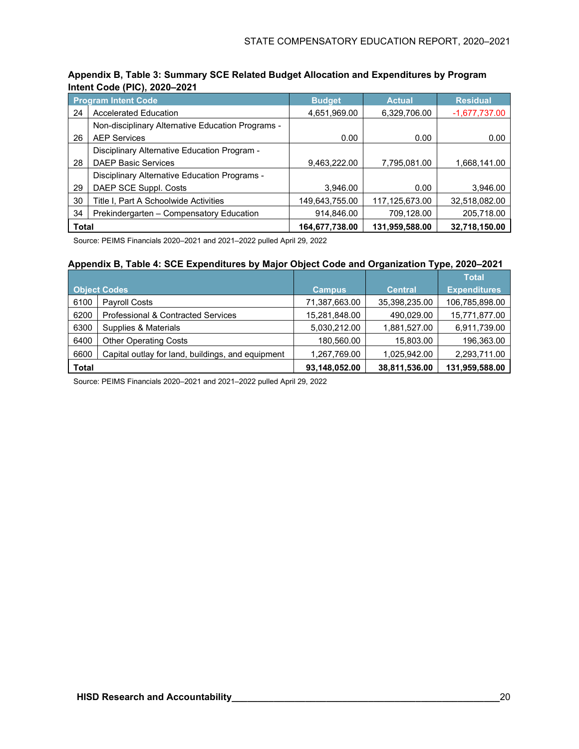| <b>Program Intent Code</b> |                                                   | <b>Budget</b>  | <b>Actual</b>  | <b>Residual</b> |  |  |  |  |
|----------------------------|---------------------------------------------------|----------------|----------------|-----------------|--|--|--|--|
| 24                         | <b>Accelerated Education</b>                      | 4,651,969.00   | 6,329,706.00   | $-1,677,737.00$ |  |  |  |  |
|                            | Non-disciplinary Alternative Education Programs - |                |                |                 |  |  |  |  |
| 26                         | <b>AEP Services</b>                               | 0.00           | 0.00           | 0.00            |  |  |  |  |
|                            | Disciplinary Alternative Education Program -      |                |                |                 |  |  |  |  |
| 28                         | <b>DAEP Basic Services</b>                        | 9,463,222.00   | 7,795,081.00   | 1,668,141.00    |  |  |  |  |
|                            | Disciplinary Alternative Education Programs -     |                |                |                 |  |  |  |  |
| 29                         | DAEP SCE Suppl. Costs                             | 3,946.00       | 0.00           | 3,946.00        |  |  |  |  |
| 30                         | Title I, Part A Schoolwide Activities             | 149,643,755.00 | 117,125,673.00 | 32,518,082.00   |  |  |  |  |
| 34                         | Prekindergarten - Compensatory Education          | 914,846.00     | 709,128.00     | 205,718.00      |  |  |  |  |
| <b>Total</b>               |                                                   | 164,677,738.00 | 131,959,588.00 | 32,718,150.00   |  |  |  |  |

# **Appendix B, Table 3: Summary SCE Related Budget Allocation and Expenditures by Program Intent Code (PIC), 2020–2021**

Source: PEIMS Financials 2020–2021 and 2021–2022 pulled April 29, 2022

### **Appendix B, Table 4: SCE Expenditures by Major Object Code and Organization Type, 2020–2021**

|              |                                                   |               |                | <b>Total</b>        |
|--------------|---------------------------------------------------|---------------|----------------|---------------------|
|              | <b>Object Codes</b>                               | <b>Campus</b> | <b>Central</b> | <b>Expenditures</b> |
| 6100         | <b>Payroll Costs</b>                              | 71,387,663.00 | 35,398,235.00  | 106,785,898.00      |
| 6200         | <b>Professional &amp; Contracted Services</b>     | 15,281,848.00 | 490,029.00     | 15,771,877.00       |
| 6300         | Supplies & Materials                              | 5,030,212.00  | 1,881,527.00   | 6,911,739.00        |
| 6400         | <b>Other Operating Costs</b>                      | 180,560.00    | 15,803.00      | 196,363.00          |
| 6600         | Capital outlay for land, buildings, and equipment | 1,267,769.00  | 1,025,942.00   | 2,293,711.00        |
| <b>Total</b> |                                                   | 93,148,052.00 | 38,811,536.00  | 131,959,588.00      |

Source: PEIMS Financials 2020–2021 and 2021–2022 pulled April 29, 2022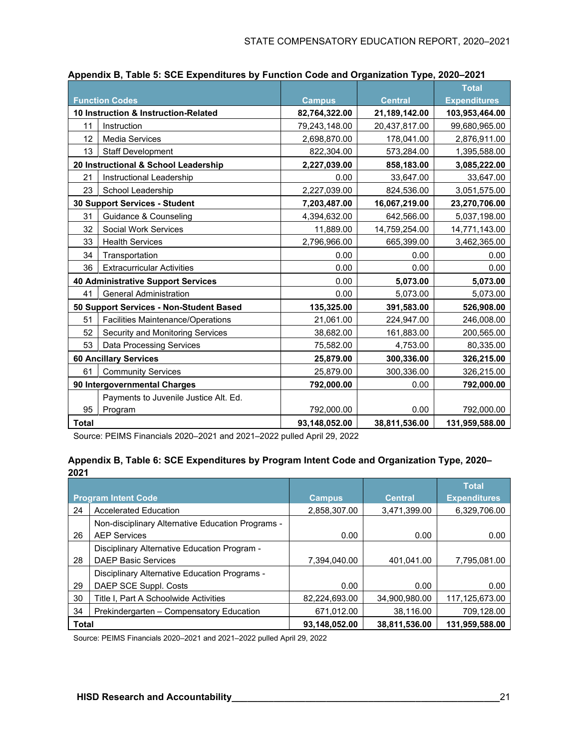|                                       |                                           |               |                | <b>Total</b>        |
|---------------------------------------|-------------------------------------------|---------------|----------------|---------------------|
|                                       | <b>Function Codes</b>                     | Campus        | <b>Central</b> | <b>Expenditures</b> |
| 10 Instruction & Instruction-Related  |                                           | 82,764,322.00 | 21,189,142.00  | 103,953,464.00      |
| 11                                    | Instruction                               | 79,243,148.00 | 20,437,817.00  | 99,680,965.00       |
| 12                                    | <b>Media Services</b>                     | 2,698,870.00  | 178,041.00     | 2,876,911.00        |
| 13                                    | <b>Staff Development</b>                  | 822,304.00    | 573,284.00     | 1,395,588.00        |
|                                       | 20 Instructional & School Leadership      | 2,227,039.00  | 858,183.00     | 3,085,222.00        |
| 21                                    | Instructional Leadership                  | 0.00          | 33,647.00      | 33,647.00           |
| 23                                    | School Leadership                         | 2,227,039.00  | 824,536.00     | 3,051,575.00        |
|                                       | 30 Support Services - Student             | 7,203,487.00  | 16,067,219.00  | 23,270,706.00       |
| 31                                    | Guidance & Counseling                     | 4,394,632.00  | 642,566.00     | 5,037,198.00        |
| 32                                    | <b>Social Work Services</b>               | 11,889.00     | 14,759,254.00  | 14,771,143.00       |
| 33                                    | <b>Health Services</b>                    | 2,796,966.00  | 665,399.00     | 3,462,365.00        |
| 34                                    | Transportation                            | 0.00          | 0.00           | 0.00                |
| 36                                    | <b>Extracurricular Activities</b>         | 0.00          | 0.00           | 0.00                |
|                                       | <b>40 Administrative Support Services</b> | 0.00          | 5,073.00       | 5,073.00            |
| 41                                    | <b>General Administration</b>             | 0.00          | 5,073.00       | 5,073.00            |
|                                       | 50 Support Services - Non-Student Based   | 135,325.00    | 391,583.00     | 526,908.00          |
| 51                                    | <b>Facilities Maintenance/Operations</b>  | 21,061.00     | 224,947.00     | 246,008.00          |
| 52                                    | Security and Monitoring Services          | 38,682.00     | 161,883.00     | 200,565.00          |
| 53                                    | <b>Data Processing Services</b>           | 75,582.00     | 4,753.00       | 80,335.00           |
| <b>60 Ancillary Services</b>          |                                           | 25,879.00     | 300,336.00     | 326,215.00          |
| 61                                    | <b>Community Services</b>                 | 25,879.00     | 300,336.00     | 326,215.00          |
| 90 Intergovernmental Charges          |                                           | 792,000.00    | 0.00           | 792,000.00          |
| Payments to Juvenile Justice Alt. Ed. |                                           |               |                |                     |
| 95                                    | Program                                   | 792,000.00    | 0.00           | 792,000.00          |
| <b>Total</b>                          |                                           | 93,148,052.00 | 38,811,536.00  | 131,959,588.00      |

| Appendix B, Table 5: SCE Expenditures by Function Code and Organization Type, 2020-2021 |  |  |  |
|-----------------------------------------------------------------------------------------|--|--|--|
|                                                                                         |  |  |  |

Source: PEIMS Financials 2020–2021 and 2021–2022 pulled April 29, 2022

#### **Appendix B, Table 6: SCE Expenditures by Program Intent Code and Organization Type, 2020– 2021**

|                            |                                                   |               |                | <b>Total</b>        |
|----------------------------|---------------------------------------------------|---------------|----------------|---------------------|
| <b>Program Intent Code</b> |                                                   | <b>Campus</b> | <b>Central</b> | <b>Expenditures</b> |
| 24                         | <b>Accelerated Education</b>                      | 2,858,307.00  | 3,471,399.00   | 6,329,706.00        |
|                            | Non-disciplinary Alternative Education Programs - |               |                |                     |
| 26                         | <b>AEP Services</b>                               | 0.00          | 0.00           | 0.00                |
|                            | Disciplinary Alternative Education Program -      |               |                |                     |
| 28                         | <b>DAEP Basic Services</b>                        | 7.394.040.00  | 401.041.00     | 7,795,081.00        |
|                            | Disciplinary Alternative Education Programs -     |               |                |                     |
| 29                         | DAEP SCE Suppl. Costs                             | 0.00          | 0.00           | 0.00                |
| 30                         | Title I, Part A Schoolwide Activities             | 82,224,693.00 | 34,900,980.00  | 117,125,673.00      |
| 34                         | Prekindergarten - Compensatory Education          | 671,012.00    | 38,116.00      | 709,128.00          |
| <b>Total</b>               |                                                   | 93,148,052.00 | 38.811.536.00  | 131.959.588.00      |

Source: PEIMS Financials 2020–2021 and 2021–2022 pulled April 29, 2022